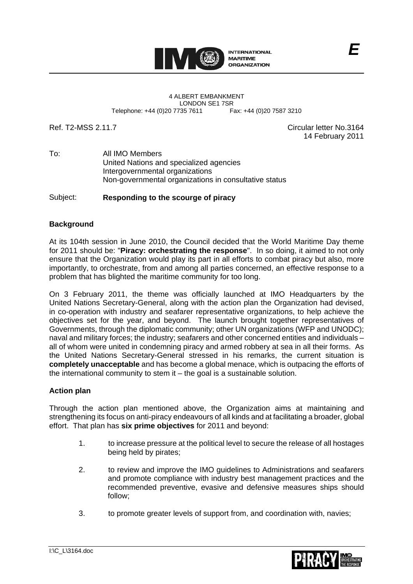

LONDON SE1 7SR<br>735 7611 Fax: +44 (0)20 7587 3210

Ref. T2-MSS 2.11.7 Circular letter No.3164 14 February 2011

*E*

To: All IMO Members United Nations and specialized agencies Intergovernmental organizations Non-governmental organizations in consultative status

Subject: **Responding to the scourge of piracy** 

# **Background**

At its 104th session in June 2010, the Council decided that the World Maritime Day theme for 2011 should be: "**Piracy: orchestrating the response**". In so doing, it aimed to not only ensure that the Organization would play its part in all efforts to combat piracy but also, more importantly, to orchestrate, from and among all parties concerned, an effective response to a problem that has blighted the maritime community for too long.

On 3 February 2011, the theme was officially launched at IMO Headquarters by the United Nations Secretary-General, along with the action plan the Organization had devised, in co-operation with industry and seafarer representative organizations, to help achieve the objectives set for the year, and beyond. The launch brought together representatives of Governments, through the diplomatic community; other UN organizations (WFP and UNODC); naval and military forces; the industry; seafarers and other concerned entities and individuals – all of whom were united in condemning piracy and armed robbery at sea in all their forms. As the United Nations Secretary-General stressed in his remarks, the current situation is **completely unacceptable** and has become a global menace, which is outpacing the efforts of the international community to stem it – the goal is a sustainable solution.

## **Action plan**

Through the action plan mentioned above, the Organization aims at maintaining and strengthening its focus on anti-piracy endeavours of all kinds and at facilitating a broader, global effort. That plan has **six prime objectives** for 2011 and beyond:

- 1. to increase pressure at the political level to secure the release of all hostages being held by pirates;
- 2. to review and improve the IMO guidelines to Administrations and seafarers and promote compliance with industry best management practices and the recommended preventive, evasive and defensive measures ships should follow;
- 3. to promote greater levels of support from, and coordination with, navies;

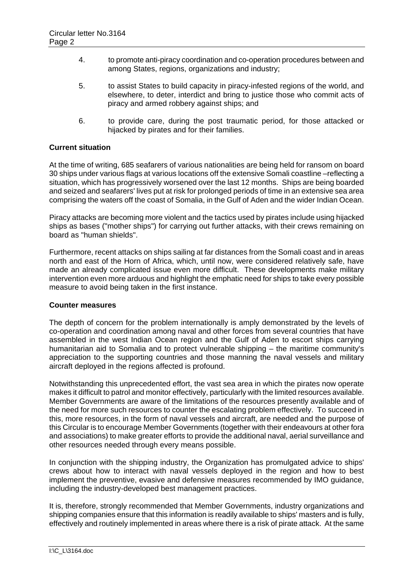- 4. to promote anti-piracy coordination and co-operation procedures between and among States, regions, organizations and industry;
- 5. to assist States to build capacity in piracy-infested regions of the world, and elsewhere, to deter, interdict and bring to justice those who commit acts of piracy and armed robbery against ships; and
- 6. to provide care, during the post traumatic period, for those attacked or hijacked by pirates and for their families.

### **Current situation**

At the time of writing, 685 seafarers of various nationalities are being held for ransom on board 30 ships under various flags at various locations off the extensive Somali coastline –reflecting a situation, which has progressively worsened over the last 12 months. Ships are being boarded and seized and seafarers' lives put at risk for prolonged periods of time in an extensive sea area comprising the waters off the coast of Somalia, in the Gulf of Aden and the wider Indian Ocean.

Piracy attacks are becoming more violent and the tactics used by pirates include using hijacked ships as bases ("mother ships") for carrying out further attacks, with their crews remaining on board as "human shields".

Furthermore, recent attacks on ships sailing at far distances from the Somali coast and in areas north and east of the Horn of Africa, which, until now, were considered relatively safe, have made an already complicated issue even more difficult. These developments make military intervention even more arduous and highlight the emphatic need for ships to take every possible measure to avoid being taken in the first instance.

#### **Counter measures**

The depth of concern for the problem internationally is amply demonstrated by the levels of co-operation and coordination among naval and other forces from several countries that have assembled in the west Indian Ocean region and the Gulf of Aden to escort ships carrying humanitarian aid to Somalia and to protect vulnerable shipping – the maritime community's appreciation to the supporting countries and those manning the naval vessels and military aircraft deployed in the regions affected is profound.

Notwithstanding this unprecedented effort, the vast sea area in which the pirates now operate makes it difficult to patrol and monitor effectively, particularly with the limited resources available. Member Governments are aware of the limitations of the resources presently available and of the need for more such resources to counter the escalating problem effectively. To succeed in this, more resources, in the form of naval vessels and aircraft, are needed and the purpose of this Circular is to encourage Member Governments (together with their endeavours at other fora and associations) to make greater efforts to provide the additional naval, aerial surveillance and other resources needed through every means possible.

In conjunction with the shipping industry, the Organization has promulgated advice to ships' crews about how to interact with naval vessels deployed in the region and how to best implement the preventive, evasive and defensive measures recommended by IMO guidance, including the industry-developed best management practices.

It is, therefore, strongly recommended that Member Governments, industry organizations and shipping companies ensure that this information is readily available to ships' masters and is fully, effectively and routinely implemented in areas where there is a risk of pirate attack. At the same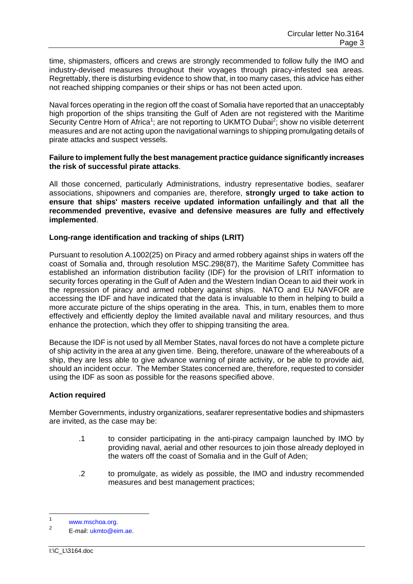time, shipmasters, officers and crews are strongly recommended to follow fully the IMO and industry-devised measures throughout their voyages through piracy-infested sea areas. Regrettably, there is disturbing evidence to show that, in too many cases, this advice has either not reached shipping companies or their ships or has not been acted upon.

Naval forces operating in the region off the coast of Somalia have reported that an unacceptably high proportion of the ships transiting the Gulf of Aden are not registered with the Maritime Security Centre Horn of Africa<sup>1</sup>; are not reporting to UKMTO Dubai<sup>2</sup>; show no visible deterrent measures and are not acting upon the navigational warnings to shipping promulgating details of pirate attacks and suspect vessels.

### **Failure to implement fully the best management practice guidance significantly increases the risk of successful pirate attacks**.

All those concerned, particularly Administrations, industry representative bodies, seafarer associations, shipowners and companies are, therefore, **strongly urged to take action to ensure that ships' masters receive updated information unfailingly and that all the recommended preventive, evasive and defensive measures are fully and effectively implemented**.

## **Long-range identification and tracking of ships (LRIT)**

Pursuant to resolution A.1002(25) on Piracy and armed robbery against ships in waters off the coast of Somalia and, through resolution MSC.298(87), the Maritime Safety Committee has established an information distribution facility (IDF) for the provision of LRIT information to security forces operating in the Gulf of Aden and the Western Indian Ocean to aid their work in the repression of piracy and armed robbery against ships. NATO and EU NAVFOR are accessing the IDF and have indicated that the data is invaluable to them in helping to build a more accurate picture of the ships operating in the area. This, in turn, enables them to more effectively and efficiently deploy the limited available naval and military resources, and thus enhance the protection, which they offer to shipping transiting the area.

Because the IDF is not used by all Member States, naval forces do not have a complete picture of ship activity in the area at any given time. Being, therefore, unaware of the whereabouts of a ship, they are less able to give advance warning of pirate activity, or be able to provide aid, should an incident occur. The Member States concerned are, therefore, requested to consider using the IDF as soon as possible for the reasons specified above.

## **Action required**

Member Governments, industry organizations, seafarer representative bodies and shipmasters are invited, as the case may be:

- .1 to consider participating in the anti-piracy campaign launched by IMO by providing naval, aerial and other resources to join those already deployed in the waters off the coast of Somalia and in the Gulf of Aden;
- .2 to promulgate, as widely as possible, the IMO and industry recommended measures and best management practices;

 $\frac{1}{1}$ www.mschoa.org.

E-mail: ukmto@eim.ae.